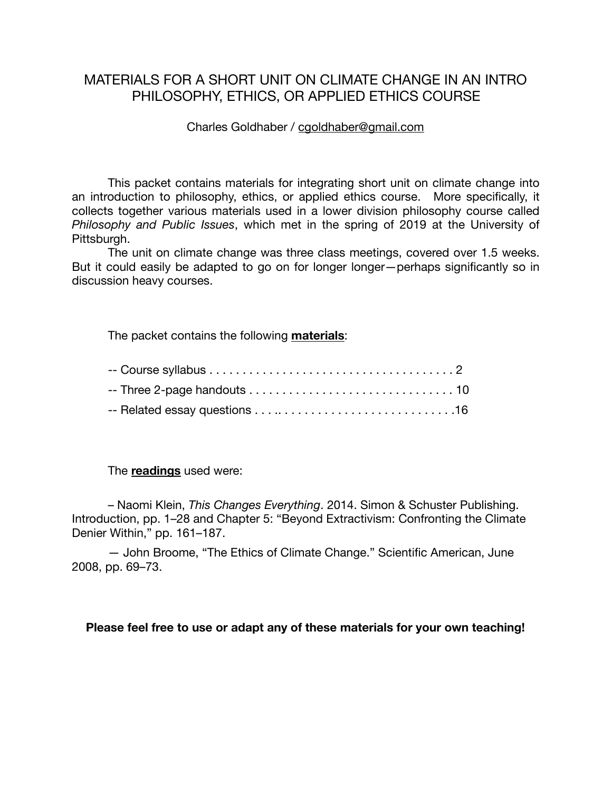# MATERIALS FOR A SHORT UNIT ON CLIMATE CHANGE IN AN INTRO PHILOSOPHY, ETHICS, OR APPLIED ETHICS COURSE

## Charles Goldhaber / [cgoldhaber@gmail.com](mailto:cgoldhaber@gmail.com)

This packet contains materials for integrating short unit on climate change into an introduction to philosophy, ethics, or applied ethics course. More specifically, it collects together various materials used in a lower division philosophy course called *Philosophy and Public Issues*, which met in the spring of 2019 at the University of Pittsburgh.

The unit on climate change was three class meetings, covered over 1.5 weeks. But it could easily be adapted to go on for longer longer—perhaps significantly so in discussion heavy courses.

The packet contains the following **materials**:

The **readings** used were:

– Naomi Klein, *This Changes Everything*. 2014. Simon & Schuster Publishing. Introduction, pp. 1–28 and Chapter 5: "Beyond Extractivism: Confronting the Climate Denier Within," pp. 161–187.

— John Broome, "The Ethics of Climate Change." Scientific American, June 2008, pp. 69–73.

## **Please feel free to use or adapt any of these materials for your own teaching!**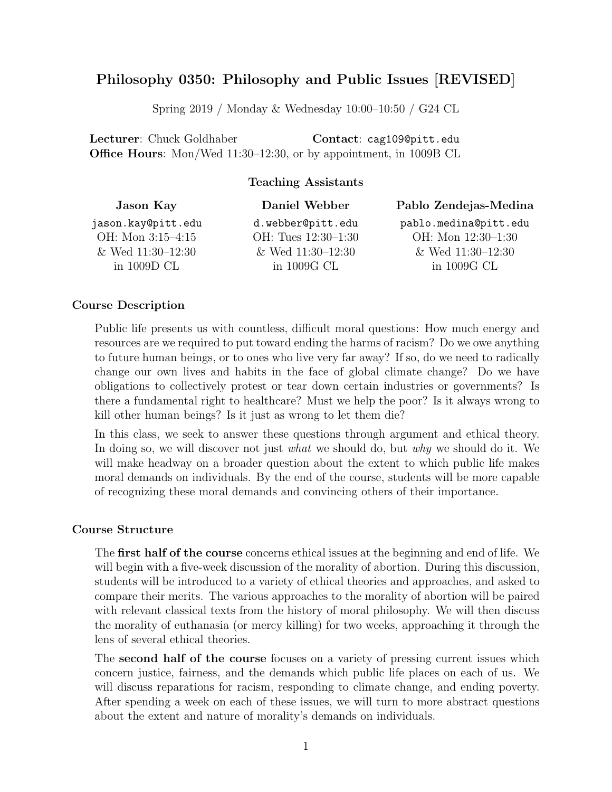# Philosophy 0350: Philosophy and Public Issues [REVISED]

Spring 2019 / Monday & Wednesday 10:00–10:50 / G24 CL

Lecturer: Chuck Goldhaber Contact: cag109@pitt.edu Office Hours: Mon/Wed 11:30–12:30, or by appointment, in 1009B CL

## Teaching Assistants

| Jason Kay           | Daniel Webber       | Pablo Zendejas-Medina |
|---------------------|---------------------|-----------------------|
| jason.kay@pitt.edu  | d.webber@pitt.edu   | pablo.medina@pitt.edu |
| OH: Mon 3:15-4:15   | OH: Tues 12:30-1:30 | OH: Mon 12:30-1:30    |
| & Wed $11:30-12:30$ | & Wed $11:30-12:30$ | & Wed $11:30-12:30$   |
| in $1009D$ CL       | in 1009G CL         | in $1009G$ CL         |
|                     |                     |                       |

#### Course Description

Public life presents us with countless, difficult moral questions: How much energy and resources are we required to put toward ending the harms of racism? Do we owe anything to future human beings, or to ones who live very far away? If so, do we need to radically change our own lives and habits in the face of global climate change? Do we have obligations to collectively protest or tear down certain industries or governments? Is there a fundamental right to healthcare? Must we help the poor? Is it always wrong to kill other human beings? Is it just as wrong to let them die?

In this class, we seek to answer these questions through argument and ethical theory. In doing so, we will discover not just *what* we should do, but *why* we should do it. We will make headway on a broader question about the extent to which public life makes moral demands on individuals. By the end of the course, students will be more capable of recognizing these moral demands and convincing others of their importance.

### Course Structure

The first half of the course concerns ethical issues at the beginning and end of life. We will begin with a five-week discussion of the morality of abortion. During this discussion, students will be introduced to a variety of ethical theories and approaches, and asked to compare their merits. The various approaches to the morality of abortion will be paired with relevant classical texts from the history of moral philosophy. We will then discuss the morality of euthanasia (or mercy killing) for two weeks, approaching it through the lens of several ethical theories.

The **second half of the course** focuses on a variety of pressing current issues which concern justice, fairness, and the demands which public life places on each of us. We will discuss reparations for racism, responding to climate change, and ending poverty. After spending a week on each of these issues, we will turn to more abstract questions about the extent and nature of morality's demands on individuals.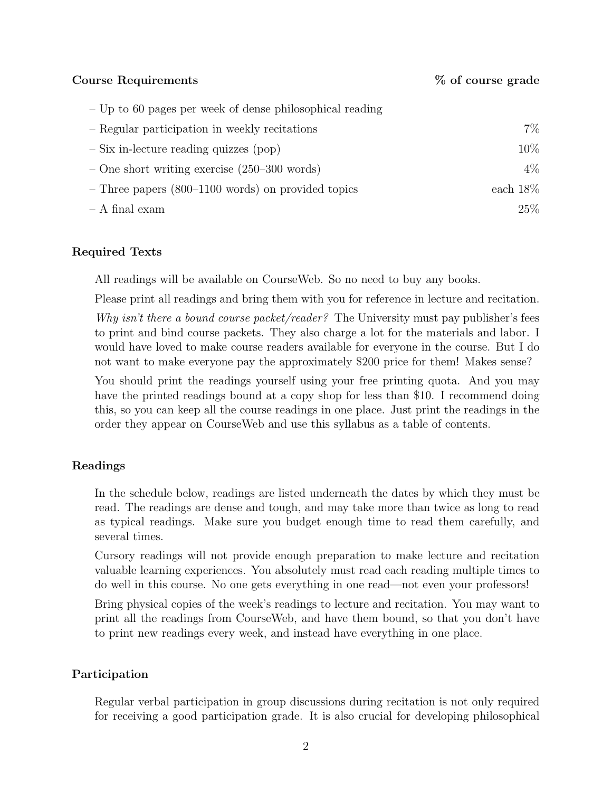Course Requirements  $\%$  of course grade

| $-$ Up to 60 pages per week of dense philosophical reading |             |
|------------------------------------------------------------|-------------|
| - Regular participation in weekly recitations              | 7%          |
| $-$ Six in-lecture reading quizzes (pop)                   | 10%         |
| $-$ One short writing exercise (250–300 words)             | 4%          |
| $-$ Three papers (800–1100 words) on provided topics       | each $18\%$ |
| $- A$ final exam                                           | 25%         |

## Required Texts

All readings will be available on CourseWeb. So no need to buy any books.

Please print all readings and bring them with you for reference in lecture and recitation.

*Why isn't there a bound course packet/reader?* The University must pay publisher's fees to print and bind course packets. They also charge a lot for the materials and labor. I would have loved to make course readers available for everyone in the course. But I do not want to make everyone pay the approximately \$200 price for them! Makes sense?

You should print the readings yourself using your free printing quota. And you may have the printed readings bound at a copy shop for less than \$10. I recommend doing this, so you can keep all the course readings in one place. Just print the readings in the order they appear on CourseWeb and use this syllabus as a table of contents.

## Readings

In the schedule below, readings are listed underneath the dates by which they must be read. The readings are dense and tough, and may take more than twice as long to read as typical readings. Make sure you budget enough time to read them carefully, and several times.

Cursory readings will not provide enough preparation to make lecture and recitation valuable learning experiences. You absolutely must read each reading multiple times to do well in this course. No one gets everything in one read—not even your professors!

Bring physical copies of the week's readings to lecture and recitation. You may want to print all the readings from CourseWeb, and have them bound, so that you don't have to print new readings every week, and instead have everything in one place.

## Participation

Regular verbal participation in group discussions during recitation is not only required for receiving a good participation grade. It is also crucial for developing philosophical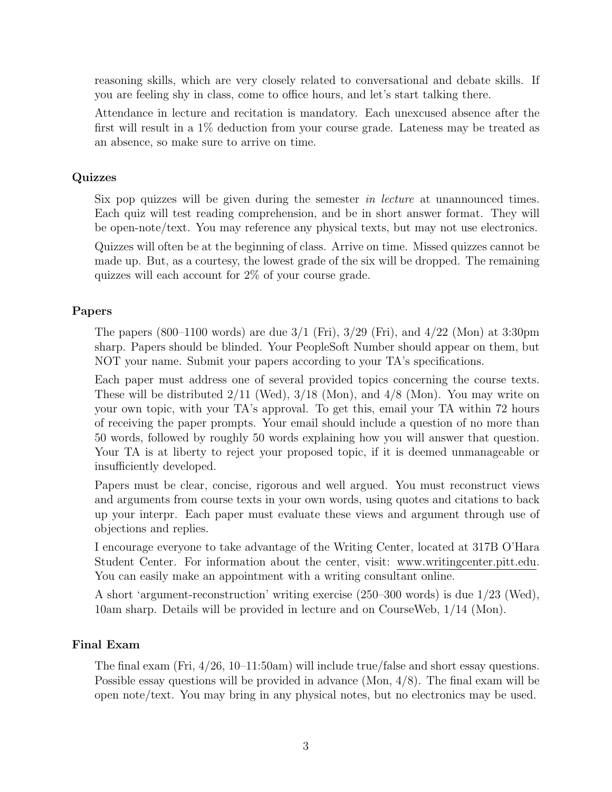reasoning skills, which are very closely related to conversational and debate skills. If you are feeling shy in class, come to office hours, and let's start talking there.

Attendance in lecture and recitation is mandatory. Each unexcused absence after the first will result in a 1% deduction from your course grade. Lateness may be treated as an absence, so make sure to arrive on time.

## Quizzes

Six pop quizzes will be given during the semester *in lecture* at unannounced times. Each quiz will test reading comprehension, and be in short answer format. They will be open-note/text. You may reference any physical texts, but may not use electronics.

Quizzes will often be at the beginning of class. Arrive on time. Missed quizzes cannot be made up. But, as a courtesy, the lowest grade of the six will be dropped. The remaining quizzes will each account for 2% of your course grade.

## Papers

The papers (800–1100 words) are due  $3/1$  (Fri),  $3/29$  (Fri), and  $4/22$  (Mon) at 3:30pm sharp. Papers should be blinded. Your PeopleSoft Number should appear on them, but NOT your name. Submit your papers according to your TA's specifications.

Each paper must address one of several provided topics concerning the course texts. These will be distributed  $2/11$  (Wed),  $3/18$  (Mon), and  $4/8$  (Mon). You may write on your own topic, with your TA's approval. To get this, email your TA within 72 hours of receiving the paper prompts. Your email should include a question of no more than 50 words, followed by roughly 50 words explaining how you will answer that question. Your TA is at liberty to reject your proposed topic, if it is deemed unmanageable or insufficiently developed.

Papers must be clear, concise, rigorous and well argued. You must reconstruct views and arguments from course texts in your own words, using quotes and citations to back up your interpr. Each paper must evaluate these views and argument through use of objections and replies.

I encourage everyone to take advantage of the Writing Center, located at 317B O'Hara Student Center. For information about the center, visit: www.writingcenter.pitt.edu. You can easily make an appointment with a writing consultant online.

A short 'argument-reconstruction' writing exercise (250–300 words) is due 1/23 (Wed), 10am sharp. Details will be provided in lecture and on CourseWeb, 1/14 (Mon).

## Final Exam

The final exam (Fri, 4/26, 10–11:50am) will include true/false and short essay questions. Possible essay questions will be provided in advance (Mon, 4/8). The final exam will be open note/text. You may bring in any physical notes, but no electronics may be used.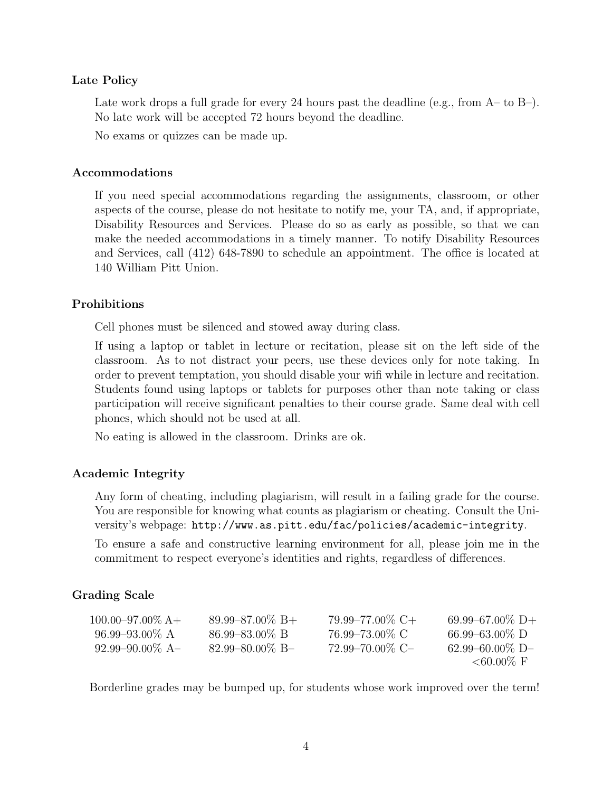### Late Policy

Late work drops a full grade for every 24 hours past the deadline (e.g., from  $A-$  to  $B-$ ). No late work will be accepted 72 hours beyond the deadline.

No exams or quizzes can be made up.

#### Accommodations

If you need special accommodations regarding the assignments, classroom, or other aspects of the course, please do not hesitate to notify me, your TA, and, if appropriate, Disability Resources and Services. Please do so as early as possible, so that we can make the needed accommodations in a timely manner. To notify Disability Resources and Services, call  $(412)$  648-7890 to schedule an appointment. The office is located at 140 William Pitt Union.

### Prohibitions

Cell phones must be silenced and stowed away during class.

If using a laptop or tablet in lecture or recitation, please sit on the left side of the classroom. As to not distract your peers, use these devices only for note taking. In order to prevent temptation, you should disable your wifi while in lecture and recitation. Students found using laptops or tablets for purposes other than note taking or class participation will receive significant penalties to their course grade. Same deal with cell phones, which should not be used at all.

No eating is allowed in the classroom. Drinks are ok.

## Academic Integrity

Any form of cheating, including plagiarism, will result in a failing grade for the course. You are responsible for knowing what counts as plagiarism or cheating. Consult the University's webpage: http://www.as.pitt.edu/fac/policies/academic-integrity.

To ensure a safe and constructive learning environment for all, please join me in the commitment to respect everyone's identities and rights, regardless of differences.

## Grading Scale

| $100.00 - 97.00\%$ A+ | $89.99 - 87.00\% \text{ B+}$ | $79.99 - 77.00\%$ C+ | $69.99 - 67.00\%$ D+ |
|-----------------------|------------------------------|----------------------|----------------------|
| $96.99 - 93.00\%$ A   | $86.99 - 83.00\% \text{ B}$  | 76.99–73.00% C       | $66.99 - 63.00\%$ D  |
| $92.99 - 90.00\%$ A   | $82.99 - 80.00\%$ B-         | $72.99 - 70.00\%$ C  | $62.99 - 60.00\%$ D- |
|                       |                              |                      | $<60.00\% \text{ F}$ |

Borderline grades may be bumped up, for students whose work improved over the term!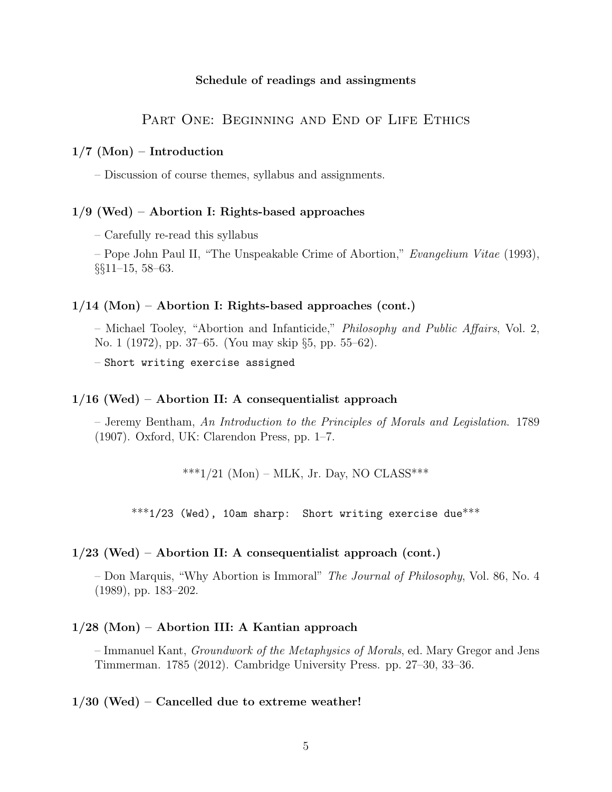#### Schedule of readings and assingments

## PART ONE: BEGINNING AND END OF LIFE ETHICS

#### $1/7$  (Mon) – Introduction

– Discussion of course themes, syllabus and assignments.

#### 1/9 (Wed) – Abortion I: Rights-based approaches

– Carefully re-read this syllabus

– Pope John Paul II, "The Unspeakable Crime of Abortion," *Evangelium Vitae* (1993), *§§*11–15, 58–63.

#### 1/14 (Mon) – Abortion I: Rights-based approaches (cont.)

– Michael Tooley, "Abortion and Infanticide," *Philosophy and Public A*↵*airs*, Vol. 2, No. 1 (1972), pp. 37–65. (You may skip *§*5, pp. 55–62).

– Short writing exercise assigned

#### $1/16$  (Wed) – Abortion II: A consequentialist approach

– Jeremy Bentham, *An Introduction to the Principles of Morals and Legislation*. 1789 (1907). Oxford, UK: Clarendon Press, pp. 1–7.

\*\*\*1/21 (Mon) – MLK, Jr. Day, NO CLASS\*\*\*

\*\*\*1/23 (Wed), 10am sharp: Short writing exercise due\*\*\*

#### $1/23$  (Wed) – Abortion II: A consequentialist approach (cont.)

– Don Marquis, "Why Abortion is Immoral" *The Journal of Philosophy*, Vol. 86, No. 4 (1989), pp. 183–202.

#### 1/28 (Mon) – Abortion III: A Kantian approach

– Immanuel Kant, *Groundwork of the Metaphysics of Morals*, ed. Mary Gregor and Jens Timmerman. 1785 (2012). Cambridge University Press. pp. 27–30, 33–36.

#### $1/30$  (Wed) – Cancelled due to extreme weather!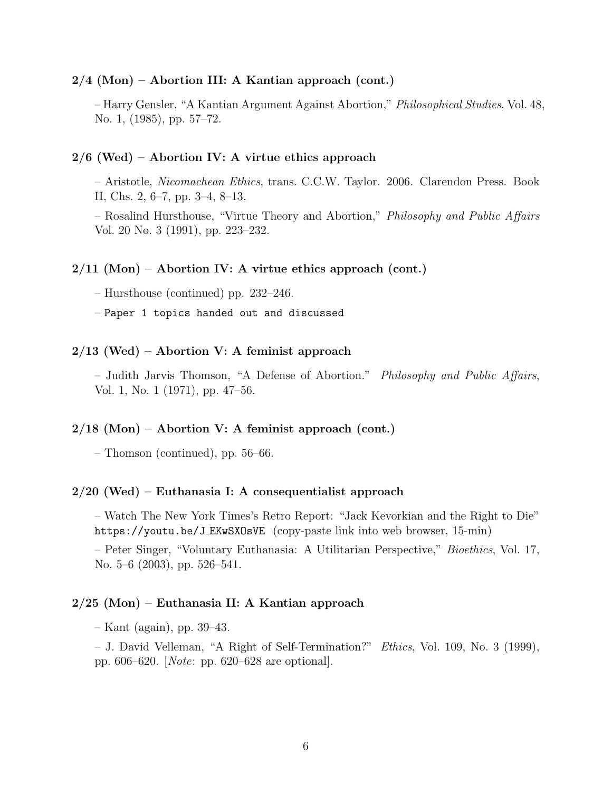#### $2/4$  (Mon) – Abortion III: A Kantian approach (cont.)

– Harry Gensler, "A Kantian Argument Against Abortion," *Philosophical Studies*, Vol. 48, No. 1, (1985), pp. 57–72.

#### $2/6$  (Wed) – Abortion IV: A virtue ethics approach

– Aristotle, *Nicomachean Ethics*, trans. C.C.W. Taylor. 2006. Clarendon Press. Book II, Chs. 2, 6–7, pp. 3–4, 8–13.

– Rosalind Hursthouse, "Virtue Theory and Abortion," *Philosophy and Public A*↵*airs* Vol. 20 No. 3 (1991), pp. 223–232.

#### $2/11$  (Mon) – Abortion IV: A virtue ethics approach (cont.)

– Hursthouse (continued) pp. 232–246.

– Paper 1 topics handed out and discussed

#### $2/13$  (Wed) – Abortion V: A feminist approach

– Judith Jarvis Thomson, "A Defense of Abortion." *Philosophy and Public A*↵*airs*, Vol. 1, No. 1 (1971), pp. 47–56.

#### $2/18$  (Mon) – Abortion V: A feminist approach (cont.)

– Thomson (continued), pp. 56–66.

#### 2/20 (Wed) – Euthanasia I: A consequentialist approach

– Watch The New York Times's Retro Report: "Jack Kevorkian and the Right to Die" https://youtu.be/J EKwSXOsVE (copy-paste link into web browser, 15-min)

– Peter Singer, "Voluntary Euthanasia: A Utilitarian Perspective," *Bioethics*, Vol. 17, No. 5–6 (2003), pp. 526–541.

#### 2/25 (Mon) – Euthanasia II: A Kantian approach

– Kant (again), pp. 39–43.

– J. David Velleman, "A Right of Self-Termination?" *Ethics*, Vol. 109, No. 3 (1999), pp. 606–620. [*Note*: pp. 620–628 are optional].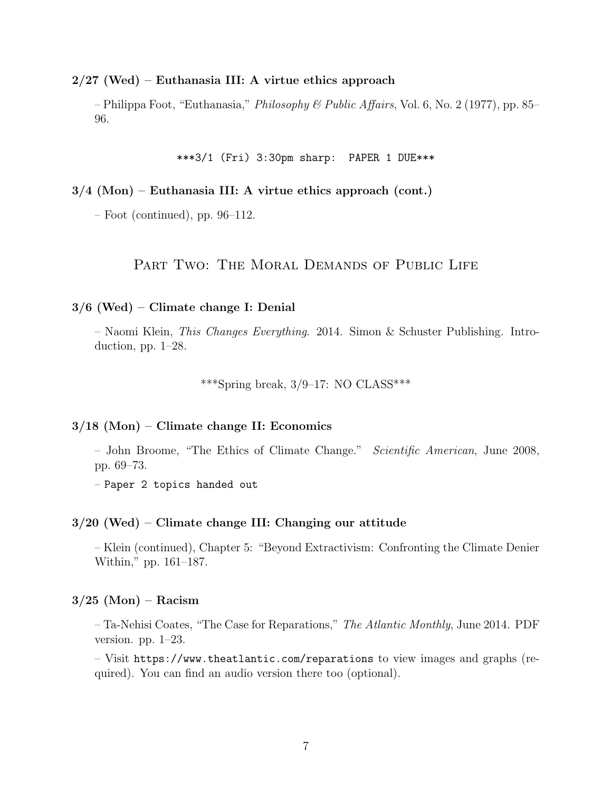2/27 (Wed) – Euthanasia III: A virtue ethics approach

– Philippa Foot, "Euthanasia," *Philosophy & Public A*↵*airs*, Vol. 6, No. 2 (1977), pp. 85– 96.

\*\*\*3/1 (Fri) 3:30pm sharp: PAPER 1 DUE\*\*\*

3/4 (Mon) – Euthanasia III: A virtue ethics approach (cont.)

 $-$  Foot (continued), pp. 96–112.

PART TWO: THE MORAL DEMANDS OF PUBLIC LIFE

## 3/6 (Wed) – Climate change I: Denial

– Naomi Klein, *This Changes Everything*. 2014. Simon & Schuster Publishing. Introduction, pp. 1–28.

\*\*\*Spring break,  $3/9-17$ : NO CLASS\*\*\*

#### 3/18 (Mon) – Climate change II: Economics

– John Broome, "The Ethics of Climate Change." *Scientific American*, June 2008, pp. 69–73.

– Paper 2 topics handed out

#### 3/20 (Wed) – Climate change III: Changing our attitude

– Klein (continued), Chapter 5: "Beyond Extractivism: Confronting the Climate Denier Within," pp. 161–187.

#### $3/25$  (Mon) – Racism

– Ta-Nehisi Coates, "The Case for Reparations," *The Atlantic Monthly*, June 2014. PDF version. pp. 1–23.

– Visit https://www.theatlantic.com/reparations to view images and graphs (required). You can find an audio version there too (optional).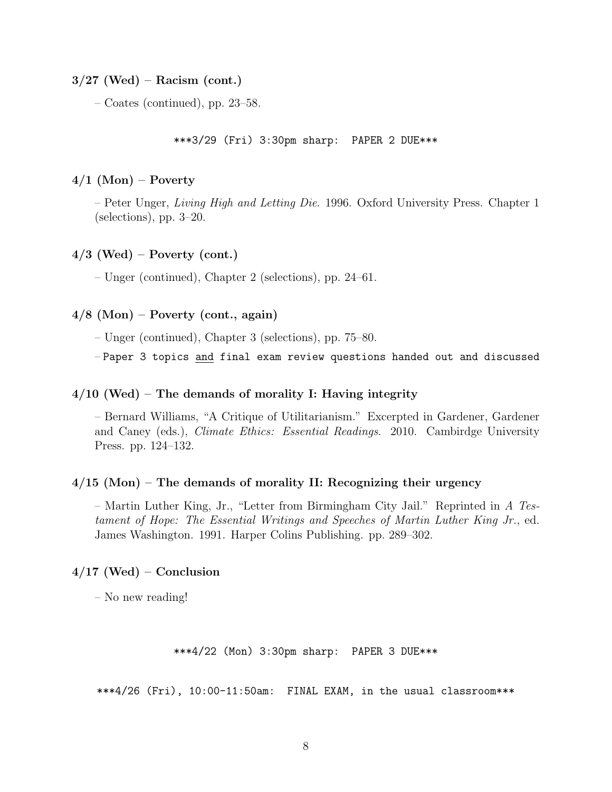$3/27$  (Wed) – Racism (cont.)

– Coates (continued), pp. 23–58.

\*\*\*3/29 (Fri) 3:30pm sharp: PAPER 2 DUE\*\*\*

#### $4/1$  (Mon) – Poverty

– Peter Unger, *Living High and Letting Die*. 1996. Oxford University Press. Chapter 1 (selections), pp. 3–20.

#### $4/3$  (Wed) – Poverty (cont.)

– Unger (continued), Chapter 2 (selections), pp. 24–61.

## $4/8$  (Mon) – Poverty (cont., again)

– Unger (continued), Chapter 3 (selections), pp. 75–80.

– Paper 3 topics and final exam review questions handed out and discussed

#### $4/10$  (Wed) – The demands of morality I: Having integrity

– Bernard Williams, "A Critique of Utilitarianism." Excerpted in Gardener, Gardener and Caney (eds.), *Climate Ethics: Essential Readings*. 2010. Cambirdge University Press. pp. 124–132.

#### $4/15$  (Mon) – The demands of morality II: Recognizing their urgency

– Martin Luther King, Jr., "Letter from Birmingham City Jail." Reprinted in *A Testament of Hope: The Essential Writings and Speeches of Martin Luther King Jr.*, ed. James Washington. 1991. Harper Colins Publishing. pp. 289–302.

## $4/17$  (Wed) – Conclusion

– No new reading!

```
***4/22 (Mon) 3:30pm sharp: PAPER 3 DUE***
```
\*\*\*4/26 (Fri), 10:00-11:50am: FINAL EXAM, in the usual classroom\*\*\*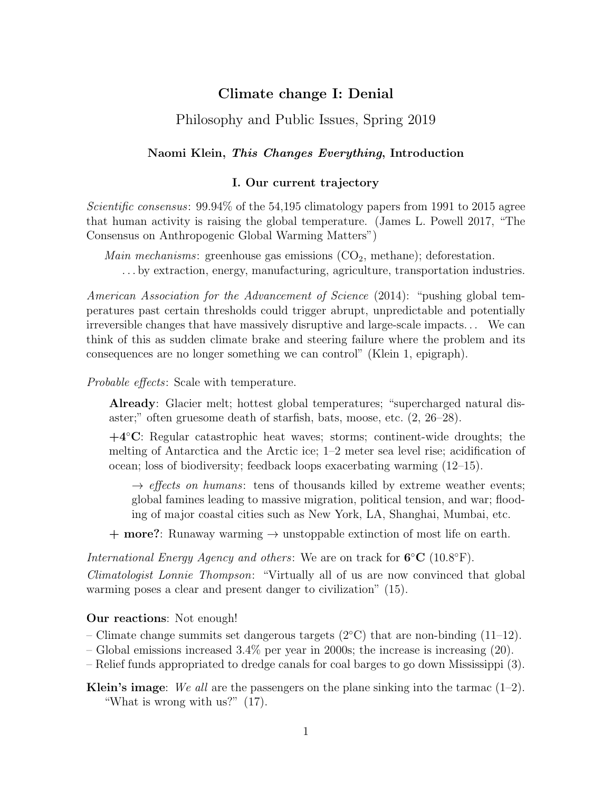## Climate change I: Denial

## Philosophy and Public Issues, Spring 2019

### Naomi Klein, *This Changes Everything*, Introduction

#### I. Our current trajectory

*Scientific consensus*: 99.94% of the 54,195 climatology papers from 1991 to 2015 agree that human activity is raising the global temperature. (James L. Powell 2017, "The Consensus on Anthropogenic Global Warming Matters")

*Main mechanisms*: greenhouse gas emissions  $(CO_2, \text{methane})$ ; deforestation. . . . by extraction, energy, manufacturing, agriculture, transportation industries.

*American Association for the Advancement of Science* (2014): "pushing global temperatures past certain thresholds could trigger abrupt, unpredictable and potentially irreversible changes that have massively disruptive and large-scale impacts. . . We can think of this as sudden climate brake and steering failure where the problem and its consequences are no longer something we can control" (Klein 1, epigraph).

*Probable effects:* Scale with temperature.

Already: Glacier melt; hottest global temperatures; "supercharged natural disaster;" often gruesome death of starfish, bats, moose, etc. (2, 26–28).

 $+4^{\circ}$ C: Regular catastrophic heat waves; storms; continent-wide droughts; the melting of Antarctica and the Arctic ice; 1–2 meter sea level rise; acidification of ocean; loss of biodiversity; feedback loops exacerbating warming (12–15).

 $\rightarrow$  *effects on humans*: tens of thousands killed by extreme weather events; global famines leading to massive migration, political tension, and war; flooding of major coastal cities such as New York, LA, Shanghai, Mumbai, etc.

 $+$  more?: Runaway warming  $\rightarrow$  unstoppable extinction of most life on earth.

*International Energy Agency and others*: We are on track for  $6^{\circ}C$  (10.8 $^{\circ}F$ ).

*Climatologist Lonnie Thompson*: "Virtually all of us are now convinced that global warming poses a clear and present danger to civilization" (15).

#### Our reactions: Not enough!

– Climate change summits set dangerous targets ( $2^{\circ}$ C) that are non-binding (11–12).

– Global emissions increased  $3.4\%$  per year in 2000s; the increase is increasing (20).

– Relief funds appropriated to dredge canals for coal barges to go down Mississippi (3).

Klein's image: *We all* are the passengers on the plane sinking into the tarmac (1–2). "What is wrong with us?" (17).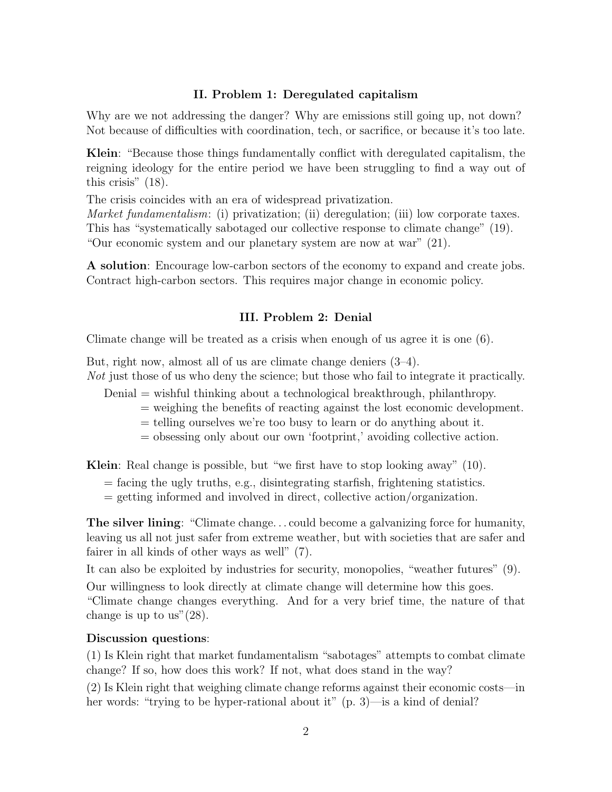## II. Problem 1: Deregulated capitalism

Why are we not addressing the danger? Why are emissions still going up, not down? Not because of difficulties with coordination, tech, or sacrifice, or because it's too late.

Klein: "Because those things fundamentally conflict with deregulated capitalism, the reigning ideology for the entire period we have been struggling to find a way out of this crisis" (18).

The crisis coincides with an era of widespread privatization.

*Market fundamentalism*: (i) privatization; (ii) deregulation; (iii) low corporate taxes. This has "systematically sabotaged our collective response to climate change" (19). "Our economic system and our planetary system are now at war" (21).

A solution: Encourage low-carbon sectors of the economy to expand and create jobs. Contract high-carbon sectors. This requires major change in economic policy.

## III. Problem 2: Denial

Climate change will be treated as a crisis when enough of us agree it is one (6).

But, right now, almost all of us are climate change deniers (3–4).

*Not* just those of us who deny the science; but those who fail to integrate it practically.

Denial = wishful thinking about a technological breakthrough, philanthropy.

- $=$  weighing the benefits of reacting against the lost economic development.
- = telling ourselves we're too busy to learn or do anything about it.
- = obsessing only about our own 'footprint,' avoiding collective action.

Klein: Real change is possible, but "we first have to stop looking away" (10).

- = facing the ugly truths, e.g., disintegrating starfish, frightening statistics.
- = getting informed and involved in direct, collective action/organization.

The silver lining: "Climate change. . . could become a galvanizing force for humanity, leaving us all not just safer from extreme weather, but with societies that are safer and fairer in all kinds of other ways as well" (7).

It can also be exploited by industries for security, monopolies, "weather futures" (9).

Our willingness to look directly at climate change will determine how this goes. "Climate change changes everything. And for a very brief time, the nature of that change is up to us" $(28)$ .

## Discussion questions:

(1) Is Klein right that market fundamentalism "sabotages" attempts to combat climate change? If so, how does this work? If not, what does stand in the way?

(2) Is Klein right that weighing climate change reforms against their economic costs—in her words: "trying to be hyper-rational about it" (p. 3)—is a kind of denial?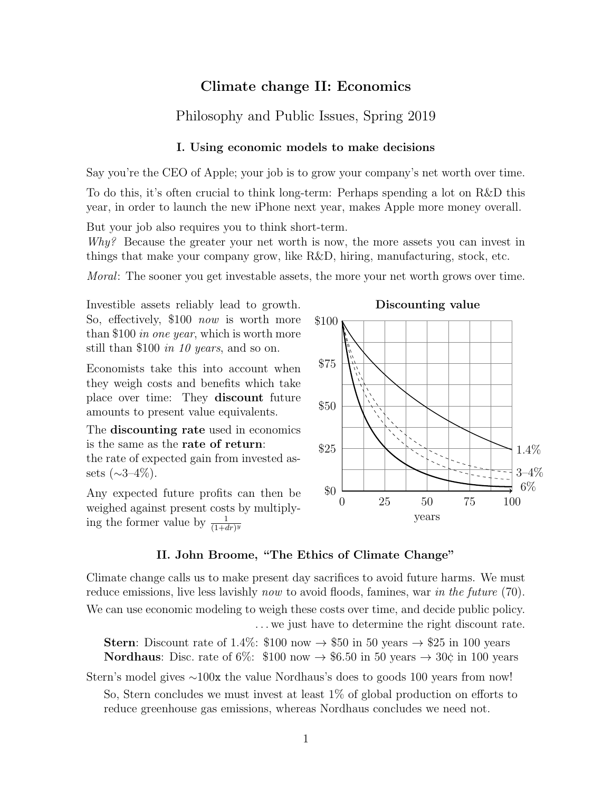## Climate change II: Economics

## Philosophy and Public Issues, Spring 2019

#### I. Using economic models to make decisions

Say you're the CEO of Apple; your job is to grow your company's net worth over time.

To do this, it's often crucial to think long-term: Perhaps spending a lot on R&D this year, in order to launch the new iPhone next year, makes Apple more money overall.

But your job also requires you to think short-term.

*Why?* Because the greater your net worth is now, the more assets you can invest in things that make your company grow, like R&D, hiring, manufacturing, stock, etc.

*Moral*: The sooner you get investable assets, the more your net worth grows over time.

Investible assets reliably lead to growth. So, effectively, \$100 *now* is worth more than \$100 *in one year*, which is worth more still than \$100 *in 10 years*, and so on.

Economists take this into account when they weigh costs and benefits which take place over time: They discount future amounts to present value equivalents.

The discounting rate used in economics is the same as the rate of return:

the rate of expected gain from invested assets  $({\sim}3{-}4\%)$ .

Any expected future profits can then be weighed against present costs by multiplying the former value by  $\frac{1}{(1+dr)^y}$ 



Discounting value

### II. John Broome, "The Ethics of Climate Change"

Climate change calls us to make present day sacrifices to avoid future harms. We must reduce emissions, live less lavishly *now* to avoid floods, famines, war *in the future* (70). We can use economic modeling to weigh these costs over time, and decide public policy. . . . we just have to determine the right discount rate.

**Stern:** Discount rate of 1.4%: \$100 now  $\rightarrow$  \$50 in 50 years  $\rightarrow$  \$25 in 100 years **Nordhaus**: Disc. rate of 6%: \$100 now  $\rightarrow$  \$6.50 in 50 years  $\rightarrow$  30¢ in 100 years

Stern's model gives  $\sim 100x$  the value Nordhaus's does to goods 100 years from now!

So, Stern concludes we must invest at least  $1\%$  of global production on efforts to reduce greenhouse gas emissions, whereas Nordhaus concludes we need not.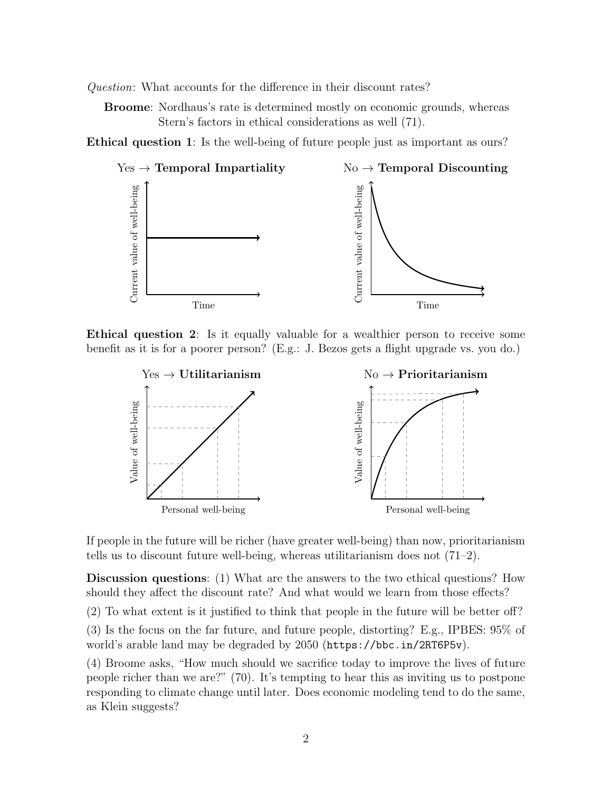*Question*: What accounts for the difference in their discount rates?

Broome: Nordhaus's rate is determined mostly on economic grounds, whereas Stern's factors in ethical considerations as well (71).

Ethical question 1: Is the well-being of future people just as important as ours?



Ethical question 2: Is it equally valuable for a wealthier person to receive some benefit as it is for a poorer person? (E.g.: J. Bezos gets a flight upgrade vs. you do.)



If people in the future will be richer (have greater well-being) than now, prioritarianism tells us to discount future well-being, whereas utilitarianism does not  $(71-2)$ .

Discussion questions: (1) What are the answers to the two ethical questions? How should they affect the discount rate? And what would we learn from those effects?

 $(2)$  To what extent is it justified to think that people in the future will be better of  $\hat{P}$ ?

(3) Is the focus on the far future, and future people, distorting? E.g., IPBES: 95% of world's arable land may be degraded by 2050 (https://bbc.in/2RT6P5v).

(4) Broome asks, "How much should we sacrifice today to improve the lives of future people richer than we are?" (70). It's tempting to hear this as inviting us to postpone responding to climate change until later. Does economic modeling tend to do the same, as Klein suggests?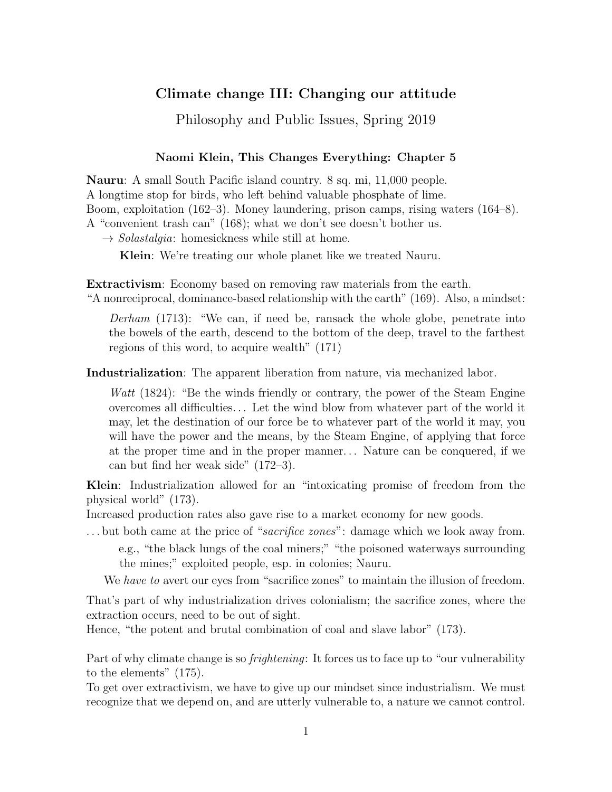## Climate change III: Changing our attitude

Philosophy and Public Issues, Spring 2019

### Naomi Klein, This Changes Everything: Chapter 5

Nauru: A small South Pacific island country. 8 sq. mi, 11,000 people. A longtime stop for birds, who left behind valuable phosphate of lime. Boom, exploitation (162–3). Money laundering, prison camps, rising waters (164–8). A "convenient trash can" (168); what we don't see doesn't bother us.

 $\rightarrow Solastalgia$ : homesickness while still at home.

Klein: We're treating our whole planet like we treated Nauru.

Extractivism: Economy based on removing raw materials from the earth. "A nonreciprocal, dominance-based relationship with the earth" (169). Also, a mindset:

*Derham* (1713): "We can, if need be, ransack the whole globe, penetrate into the bowels of the earth, descend to the bottom of the deep, travel to the farthest regions of this word, to acquire wealth" (171)

Industrialization: The apparent liberation from nature, via mechanized labor.

*Watt* (1824): "Be the winds friendly or contrary, the power of the Steam Engine overcomes all difficulties... Let the wind blow from whatever part of the world it may, let the destination of our force be to whatever part of the world it may, you will have the power and the means, by the Steam Engine, of applying that force at the proper time and in the proper manner. . . Nature can be conquered, if we can but find her weak side" (172–3).

Klein: Industrialization allowed for an "intoxicating promise of freedom from the physical world" (173).

Increased production rates also gave rise to a market economy for new goods.

. . . but both came at the price of "*sacrifice zones*": damage which we look away from.

e.g., "the black lungs of the coal miners;" "the poisoned waterways surrounding the mines;" exploited people, esp. in colonies; Nauru.

We *have to* avert our eyes from "sacrifice zones" to maintain the illusion of freedom.

That's part of why industrialization drives colonialism; the sacrifice zones, where the extraction occurs, need to be out of sight.

Hence, "the potent and brutal combination of coal and slave labor" (173).

Part of why climate change is so *frightening*: It forces us to face up to "our vulnerability to the elements" (175).

To get over extractivism, we have to give up our mindset since industrialism. We must recognize that we depend on, and are utterly vulnerable to, a nature we cannot control.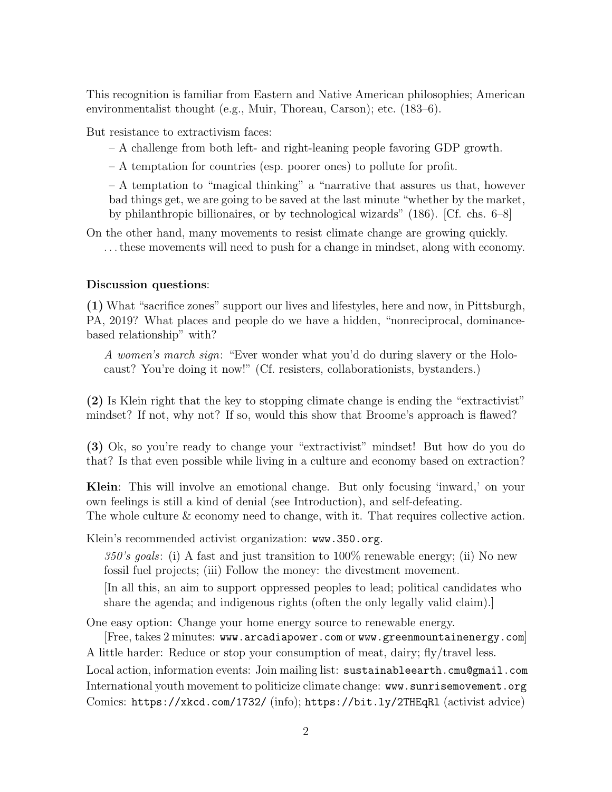This recognition is familiar from Eastern and Native American philosophies; American environmentalist thought (e.g., Muir, Thoreau, Carson); etc. (183–6).

But resistance to extractivism faces:

– A challenge from both left- and right-leaning people favoring GDP growth.

– A temptation for countries (esp. poorer ones) to pollute for profit.

– A temptation to "magical thinking" a "narrative that assures us that, however bad things get, we are going to be saved at the last minute "whether by the market, by philanthropic billionaires, or by technological wizards" (186). [Cf. chs. 6–8]

On the other hand, many movements to resist climate change are growing quickly. . . . these movements will need to push for a change in mindset, along with economy.

#### Discussion questions:

(1) What "sacrifice zones" support our lives and lifestyles, here and now, in Pittsburgh, PA, 2019? What places and people do we have a hidden, "nonreciprocal, dominancebased relationship" with?

*A women's march sign*: "Ever wonder what you'd do during slavery or the Holocaust? You're doing it now!" (Cf. resisters, collaborationists, bystanders.)

(2) Is Klein right that the key to stopping climate change is ending the "extractivist" mindset? If not, why not? If so, would this show that Broome's approach is flawed?

(3) Ok, so you're ready to change your "extractivist" mindset! But how do you do that? Is that even possible while living in a culture and economy based on extraction?

Klein: This will involve an emotional change. But only focusing 'inward,' on your own feelings is still a kind of denial (see Introduction), and self-defeating. The whole culture & economy need to change, with it. That requires collective action.

Klein's recommended activist organization: www.350.org.

*350's goals*: (i) A fast and just transition to 100% renewable energy; (ii) No new fossil fuel projects; (iii) Follow the money: the divestment movement.

[In all this, an aim to support oppressed peoples to lead; political candidates who share the agenda; and indigenous rights (often the only legally valid claim).]

One easy option: Change your home energy source to renewable energy.

[Free, takes 2 minutes: www.arcadiapower.com or www.greenmountainenergy.com] A little harder: Reduce or stop your consumption of meat, dairy; fly/travel less.

Local action, information events: Join mailing list: sustainableearth.cmu@gmail.com International youth movement to politicize climate change: www.sunrisemovement.org Comics: https://xkcd.com/1732/ (info); https://bit.ly/2THEqRl (activist advice)